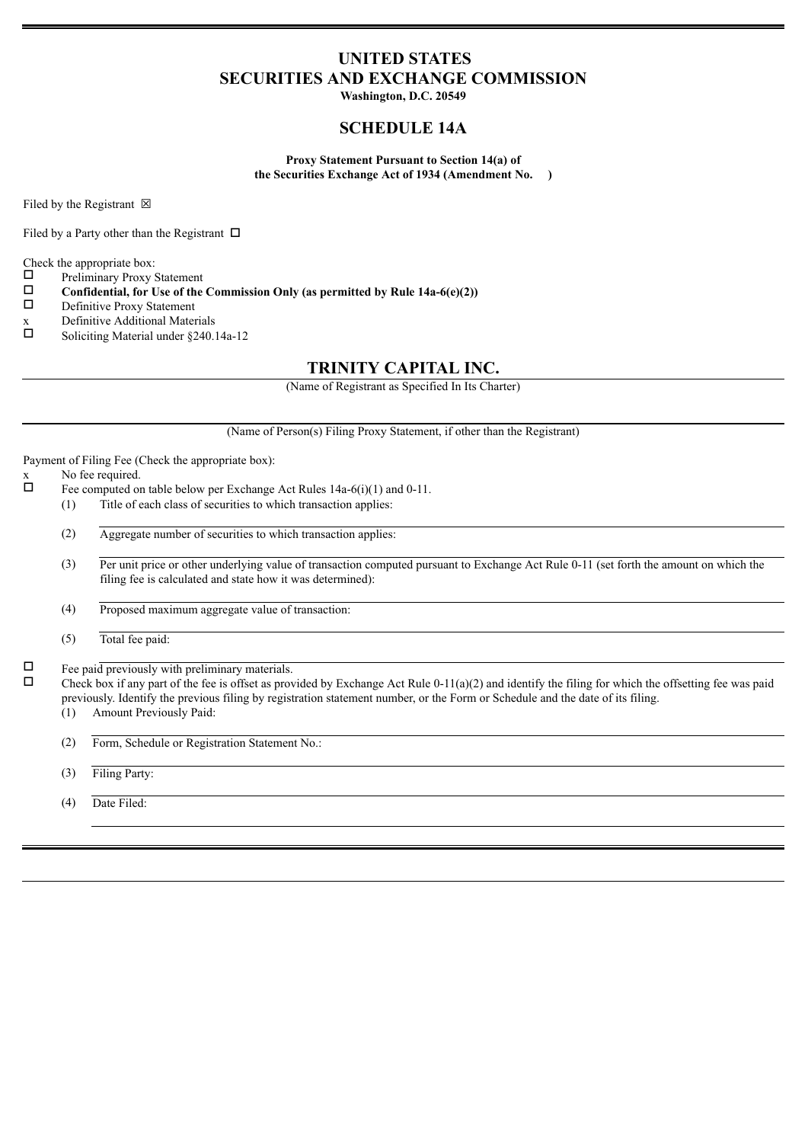## **UNITED STATES SECURITIES AND EXCHANGE COMMISSION**

**Washington, D.C. 20549**

## **SCHEDULE 14A**

**Proxy Statement Pursuant to Section 14(a) of the Securities Exchange Act of 1934 (Amendment No. )**

Filed by the Registrant  $\boxtimes$ 

Filed by a Party other than the Registrant  $\Box$ 

Check the appropriate box:

- $\square$  Preliminary Proxy Statement<br> $\square$  Confidential for Use of the
- **Confidential, for Use of the Commission Only (as permitted by Rule 14a-6(e)(2))**<br>  $\square$  Definitive Proxy Statement
- Definitive Proxy Statement
- x Definitive Additional Materials<br> $\Box$  Soliciting Material under \$240.1
- Soliciting Material under §240.14a-12

## **TRINITY CAPITAL INC.**

(Name of Registrant as Specified In Its Charter)

(Name of Person(s) Filing Proxy Statement, if other than the Registrant)

Payment of Filing Fee (Check the appropriate box):

 $x$  No fee required.

- Fee computed on table below per Exchange Act Rules 14a-6(i)(1) and 0-11.
	- (1) Title of each class of securities to which transaction applies:
	- (2) Aggregate number of securities to which transaction applies:
	- (3) Per unit price or other underlying value of transaction computed pursuant to Exchange Act Rule 0-11 (set forth the amount on which the filing fee is calculated and state how it was determined):
	- (4) Proposed maximum aggregate value of transaction:
	- (5) Total fee paid:

 $\Box$  Fee paid previously with preliminary materials.

Check box if any part of the fee is offset as provided by Exchange Act Rule  $0-11(a)(2)$  and identify the filing for which the offsetting fee was paid previously. Identify the previous filing by registration statement number, or the Form or Schedule and the date of its filing. (1) Amount Previously Paid:

- 
- (2) Form, Schedule or Registration Statement No.:
- (3) Filing Party:
- (4) Date Filed: